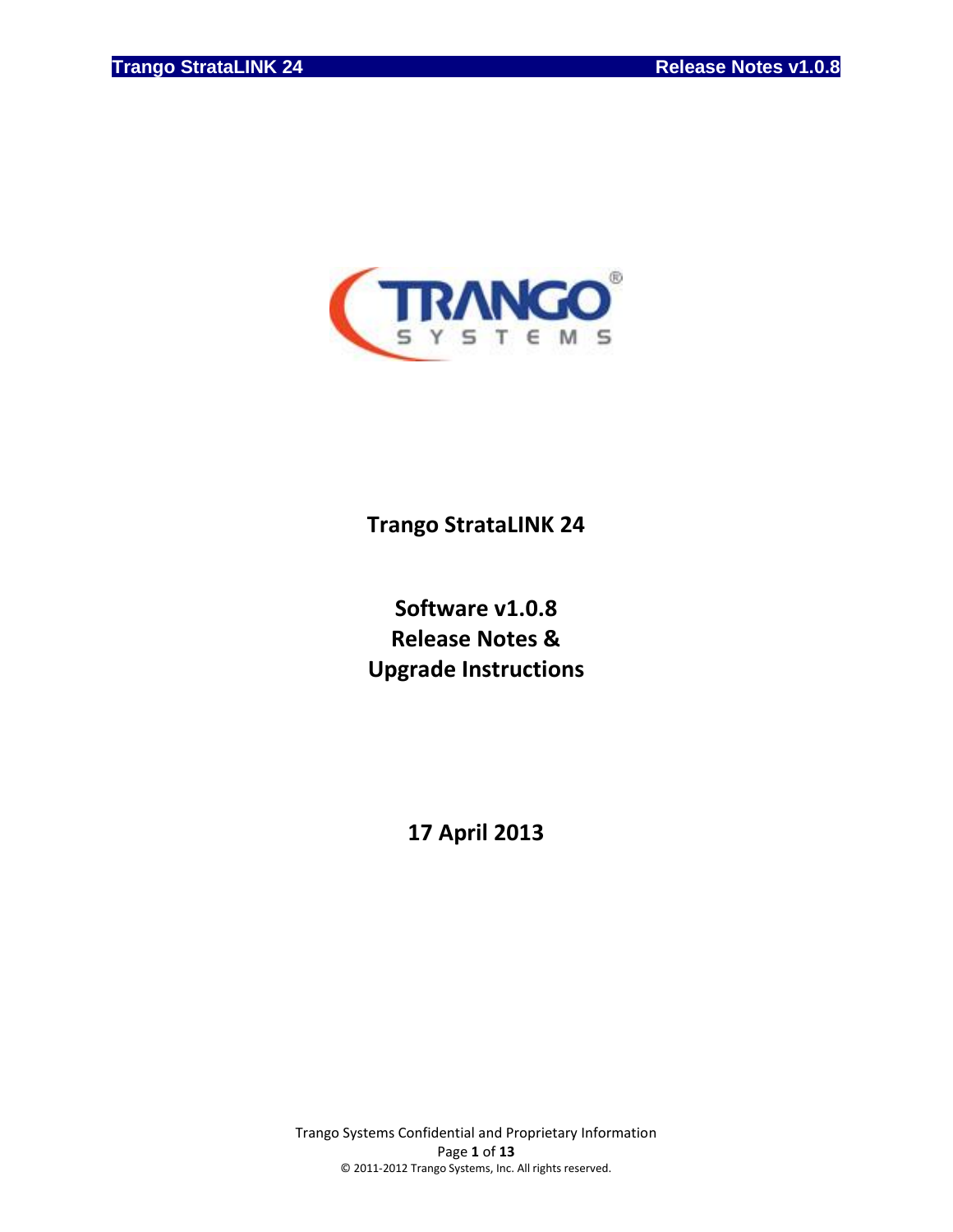

# **Trango StrataLINK 24**

# **Software v1.0.8 Release Notes & Upgrade Instructions**

**17 April 2013**

Trango Systems Confidential and Proprietary Information Page **1** of **13** © 2011-2012 Trango Systems, Inc. All rights reserved.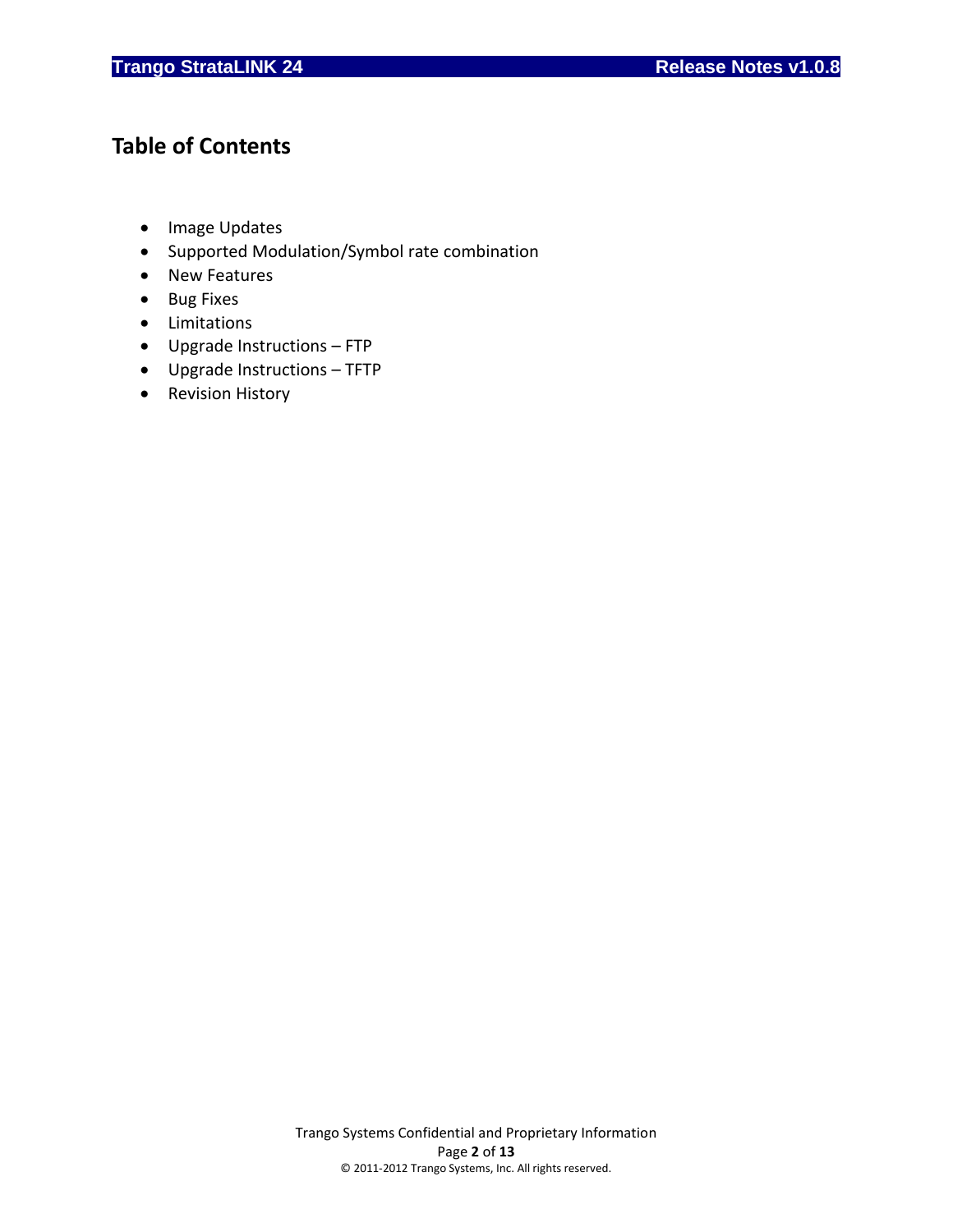# **Table of Contents**

- Image Updates
- Supported Modulation/Symbol rate combination
- New Features
- Bug Fixes
- Limitations
- Upgrade Instructions FTP
- Upgrade Instructions TFTP
- Revision History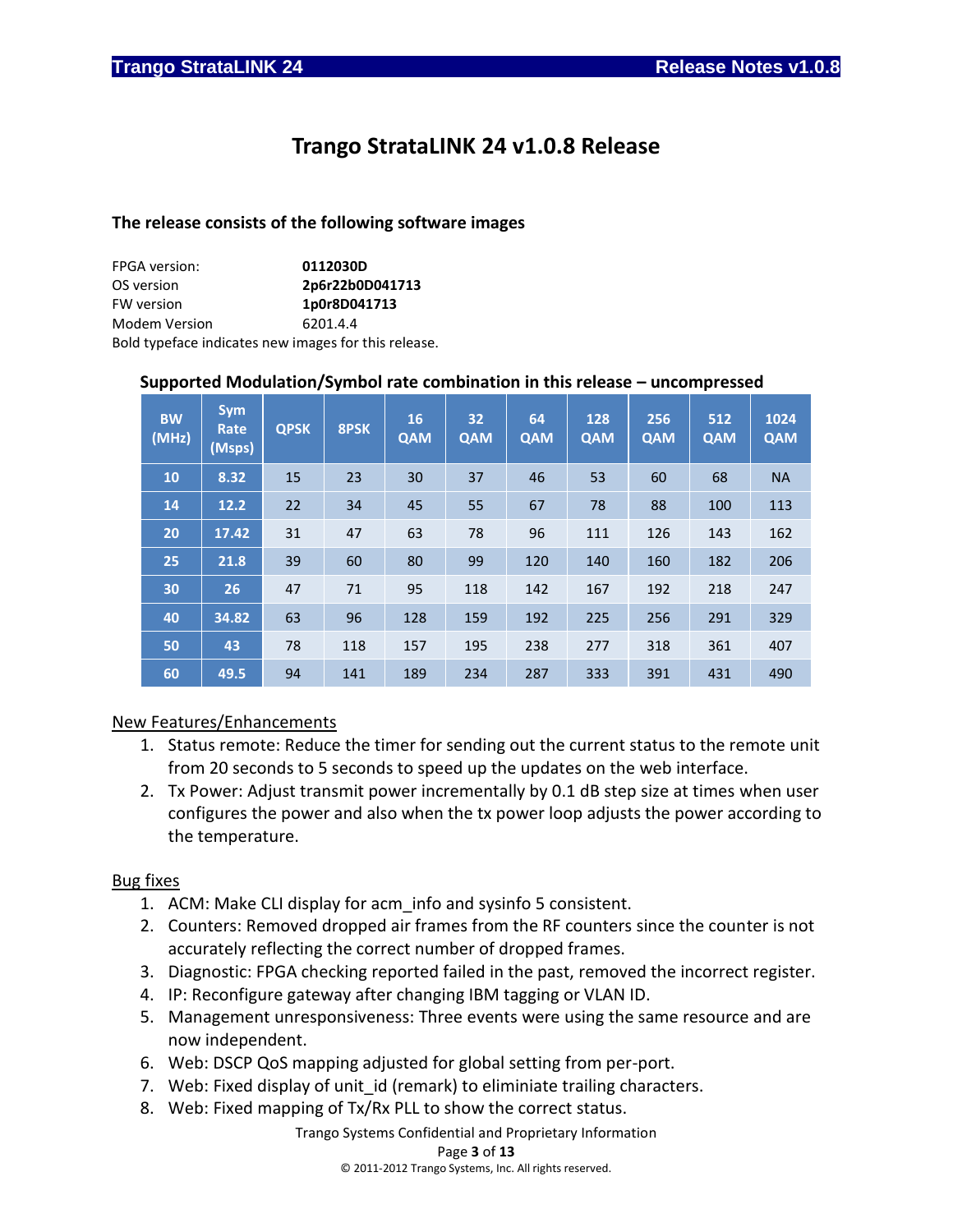# **Trango StrataLINK 24 v1.0.8 Release**

### **The release consists of the following software images**

| <b>FPGA</b> version:                                 | 0112030D        |
|------------------------------------------------------|-----------------|
| OS version                                           | 2p6r22b0D041713 |
| <b>FW version</b>                                    | 1p0r8D041713    |
| <b>Modem Version</b>                                 | 6201.4.4        |
| Bold typeface indicates new images for this release. |                 |

### **Supported Modulation/Symbol rate combination in this release – uncompressed**

| <b>BW</b><br>(MHz) | <b>Sym</b><br>Rate<br>(Msps) | <b>QPSK</b> | 8PSK | <b>16</b><br><b>QAM</b> | 32<br><b>QAM</b> | 64<br><b>QAM</b> | 128<br><b>QAM</b> | 256<br>QAM | 512<br><b>QAM</b> | 1024<br><b>QAM</b> |
|--------------------|------------------------------|-------------|------|-------------------------|------------------|------------------|-------------------|------------|-------------------|--------------------|
| 10                 | 8.32                         | 15          | 23   | 30                      | 37               | 46               | 53                | 60         | 68                | <b>NA</b>          |
| 14                 | 12.2                         | 22          | 34   | 45                      | 55               | 67               | 78                | 88         | 100               | 113                |
| 20                 | 17.42                        | 31          | 47   | 63                      | 78               | 96               | 111               | 126        | 143               | 162                |
| 25                 | 21.8                         | 39          | 60   | 80                      | 99               | 120              | 140               | 160        | 182               | 206                |
| 30                 | 26                           | 47          | 71   | 95                      | 118              | 142              | 167               | 192        | 218               | 247                |
| 40                 | 34.82                        | 63          | 96   | 128                     | 159              | 192              | 225               | 256        | 291               | 329                |
| 50                 | 43                           | 78          | 118  | 157                     | 195              | 238              | 277               | 318        | 361               | 407                |
| 60                 | 49.5                         | 94          | 141  | 189                     | 234              | 287              | 333               | 391        | 431               | 490                |

## New Features/Enhancements

- 1. Status remote: Reduce the timer for sending out the current status to the remote unit from 20 seconds to 5 seconds to speed up the updates on the web interface.
- 2. Tx Power: Adjust transmit power incrementally by 0.1 dB step size at times when user configures the power and also when the tx power loop adjusts the power according to the temperature.

### Bug fixes

- 1. ACM: Make CLI display for acm\_info and sysinfo 5 consistent.
- 2. Counters: Removed dropped air frames from the RF counters since the counter is not accurately reflecting the correct number of dropped frames.
- 3. Diagnostic: FPGA checking reported failed in the past, removed the incorrect register.
- 4. IP: Reconfigure gateway after changing IBM tagging or VLAN ID.
- 5. Management unresponsiveness: Three events were using the same resource and are now independent.
- 6. Web: DSCP QoS mapping adjusted for global setting from per-port.
- 7. Web: Fixed display of unit\_id (remark) to eliminiate trailing characters.
- 8. Web: Fixed mapping of Tx/Rx PLL to show the correct status.

Trango Systems Confidential and Proprietary Information

#### Page **3** of **13**

© 2011-2012 Trango Systems, Inc. All rights reserved.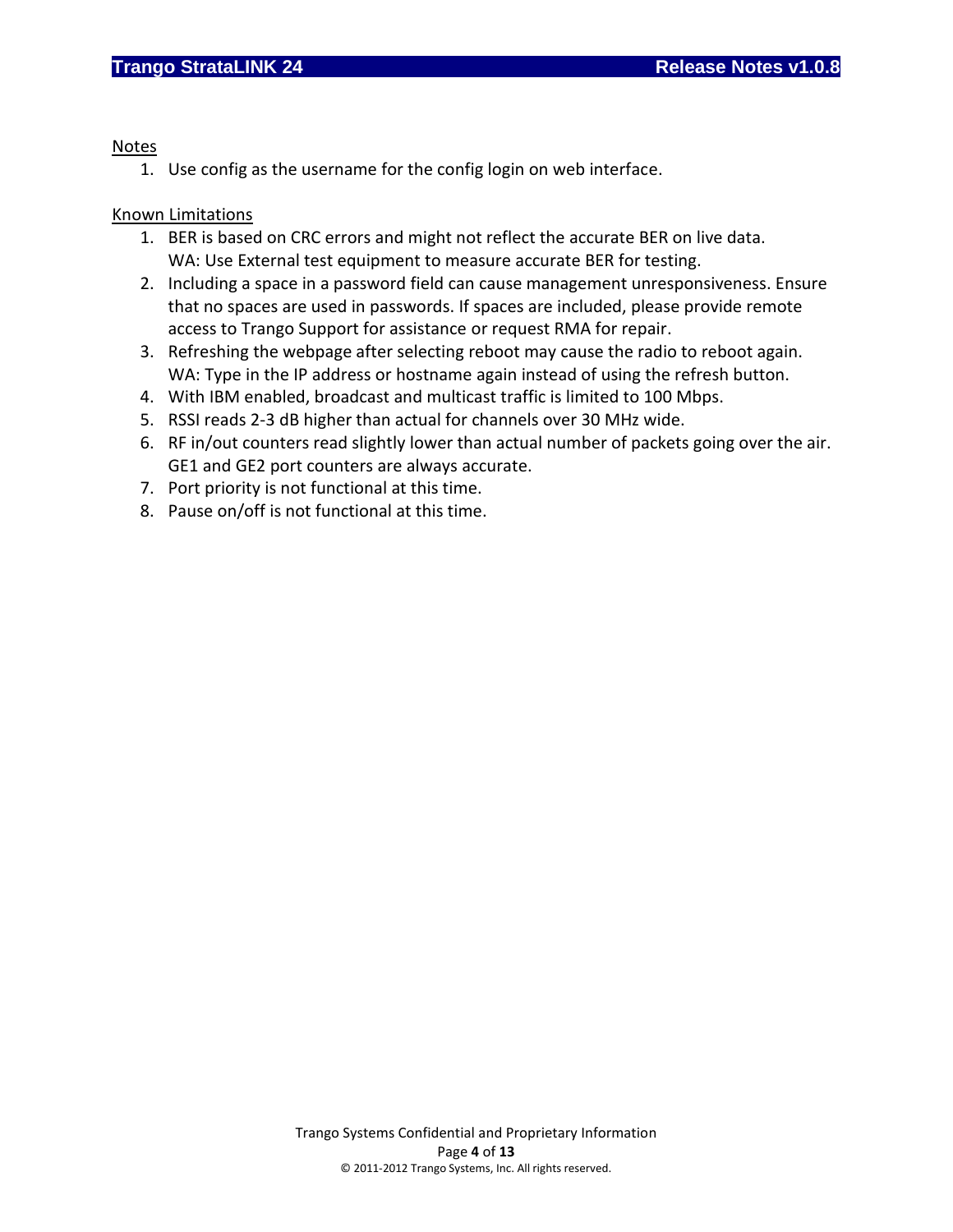### Notes

1. Use config as the username for the config login on web interface.

## Known Limitations

- 1. BER is based on CRC errors and might not reflect the accurate BER on live data. WA: Use External test equipment to measure accurate BER for testing.
- 2. Including a space in a password field can cause management unresponsiveness. Ensure that no spaces are used in passwords. If spaces are included, please provide remote access to Trango Support for assistance or request RMA for repair.
- 3. Refreshing the webpage after selecting reboot may cause the radio to reboot again. WA: Type in the IP address or hostname again instead of using the refresh button.
- 4. With IBM enabled, broadcast and multicast traffic is limited to 100 Mbps.
- 5. RSSI reads 2-3 dB higher than actual for channels over 30 MHz wide.
- 6. RF in/out counters read slightly lower than actual number of packets going over the air. GE1 and GE2 port counters are always accurate.
- 7. Port priority is not functional at this time.
- 8. Pause on/off is not functional at this time.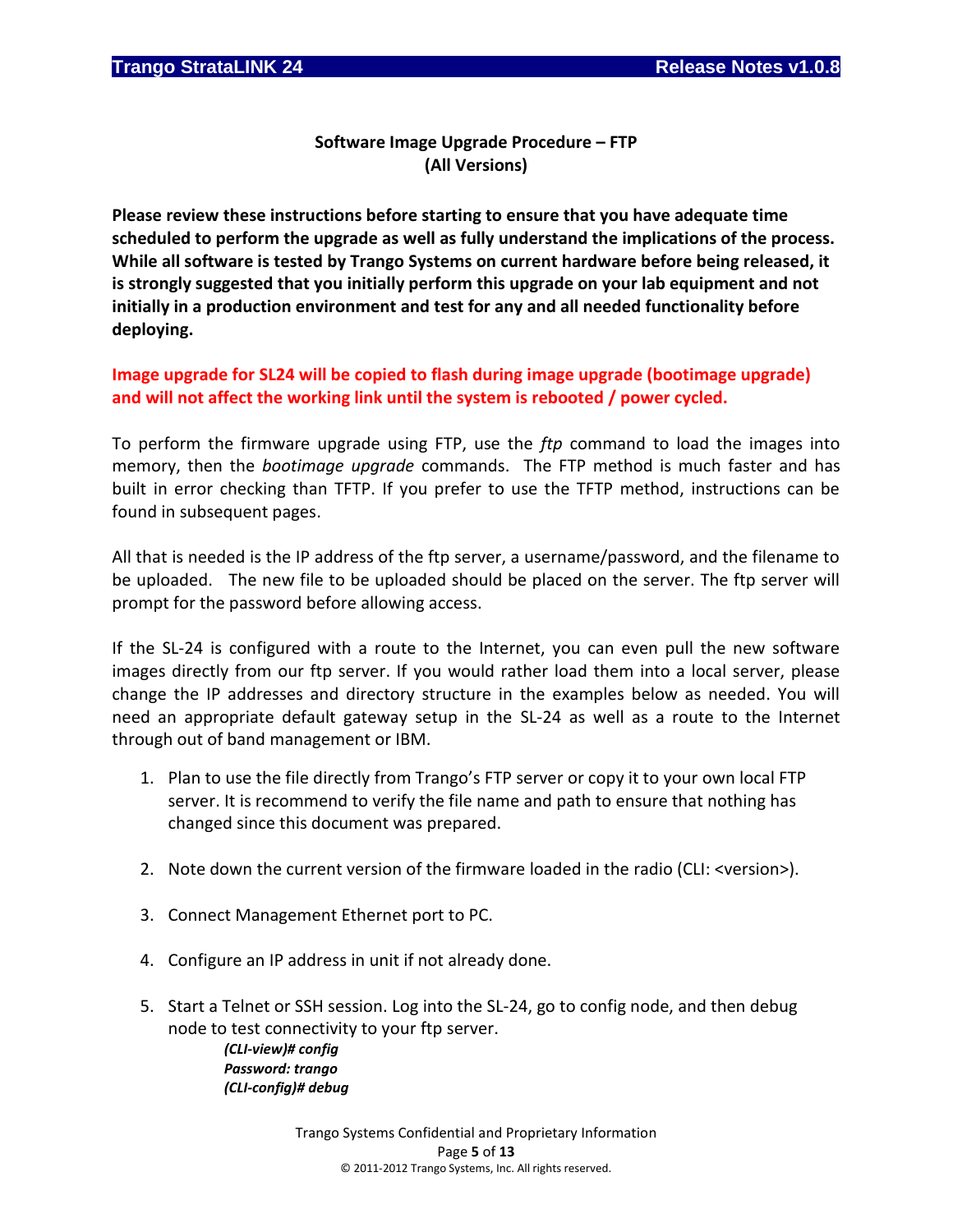**Software Image Upgrade Procedure – FTP (All Versions)**

**Please review these instructions before starting to ensure that you have adequate time scheduled to perform the upgrade as well as fully understand the implications of the process. While all software is tested by Trango Systems on current hardware before being released, it is strongly suggested that you initially perform this upgrade on your lab equipment and not initially in a production environment and test for any and all needed functionality before deploying.**

**Image upgrade for SL24 will be copied to flash during image upgrade (bootimage upgrade) and will not affect the working link until the system is rebooted / power cycled.**

To perform the firmware upgrade using FTP, use the *ftp* command to load the images into memory, then the *bootimage upgrade* commands. The FTP method is much faster and has built in error checking than TFTP. If you prefer to use the TFTP method, instructions can be found in subsequent pages.

All that is needed is the IP address of the ftp server, a username/password, and the filename to be uploaded. The new file to be uploaded should be placed on the server. The ftp server will prompt for the password before allowing access.

If the SL-24 is configured with a route to the Internet, you can even pull the new software images directly from our ftp server. If you would rather load them into a local server, please change the IP addresses and directory structure in the examples below as needed. You will need an appropriate default gateway setup in the SL-24 as well as a route to the Internet through out of band management or IBM.

- 1. Plan to use the file directly from Trango's FTP server or copy it to your own local FTP server. It is recommend to verify the file name and path to ensure that nothing has changed since this document was prepared.
- 2. Note down the current version of the firmware loaded in the radio (CLI: <version>).
- 3. Connect Management Ethernet port to PC.
- 4. Configure an IP address in unit if not already done.
- 5. Start a Telnet or SSH session. Log into the SL-24, go to config node, and then debug node to test connectivity to your ftp server.

*(CLI-view)# config Password: trango (CLI-config)# debug*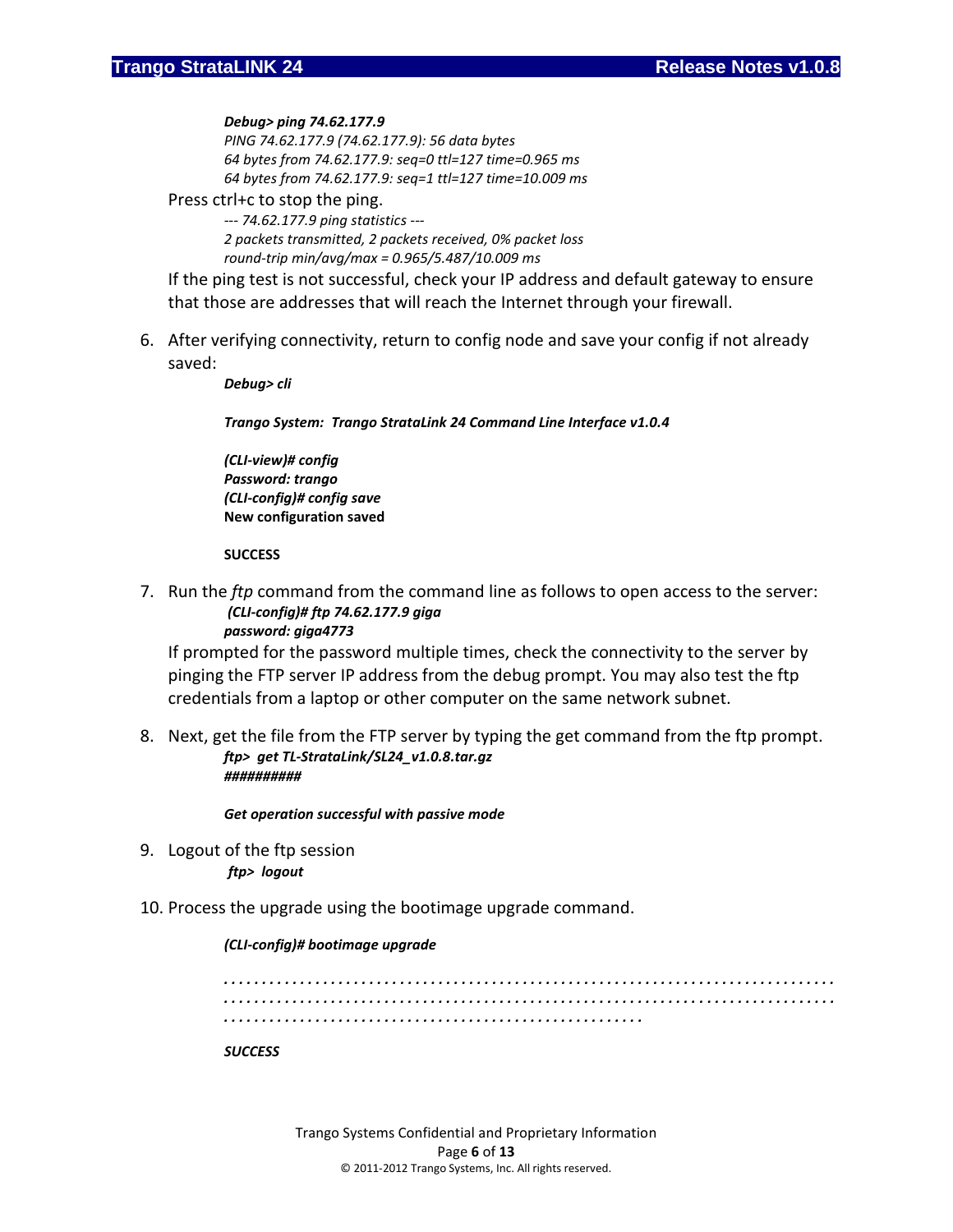#### *Debug> ping 74.62.177.9*

*PING 74.62.177.9 (74.62.177.9): 56 data bytes 64 bytes from 74.62.177.9: seq=0 ttl=127 time=0.965 ms 64 bytes from 74.62.177.9: seq=1 ttl=127 time=10.009 ms*

#### Press ctrl+c to stop the ping.

*--- 74.62.177.9 ping statistics --- 2 packets transmitted, 2 packets received, 0% packet loss round-trip min/avg/max = 0.965/5.487/10.009 ms*

If the ping test is not successful, check your IP address and default gateway to ensure that those are addresses that will reach the Internet through your firewall.

6. After verifying connectivity, return to config node and save your config if not already saved:

*Debug> cli*

*Trango System: Trango StrataLink 24 Command Line Interface v1.0.4*

*(CLI-view)# config Password: trango (CLI-config)# config save* **New configuration saved**

#### **SUCCESS**

7. Run the *ftp* command from the command line as follows to open access to the server: *(CLI-config)# ftp 74.62.177.9 giga password: giga4773*

If prompted for the password multiple times, check the connectivity to the server by pinging the FTP server IP address from the debug prompt. You may also test the ftp credentials from a laptop or other computer on the same network subnet.

8. Next, get the file from the FTP server by typing the get command from the ftp prompt. *ftp> get TL-StrataLink/SL24\_v1.0.8.tar.gz ##########*

*Get operation successful with passive mode*

9. Logout of the ftp session *ftp> logout*

### 10. Process the upgrade using the bootimage upgrade command.

### *(CLI-config)# bootimage upgrade*

*. . . . . . . . . . . . . . . . . . . . . . . . . . . . . . . . . . . . . . . . . . . . . . . . . . . . . . . . . . . . . . . . . . . . . . . . . . . . . . . . . . . . . . . . . . . . . . . . . . . . . . . . . . . . . . . . . . . . . . . . . . . . . . . . . . . . . . . . . . . . . . . . . . . . . . . . . . . . . . . . . . . . . . . . . . . . . . . . . . . . . . . . . . . . . . . . . . . . . . . . . . . . . . . . . . . . . . .* 

#### *SUCCESS*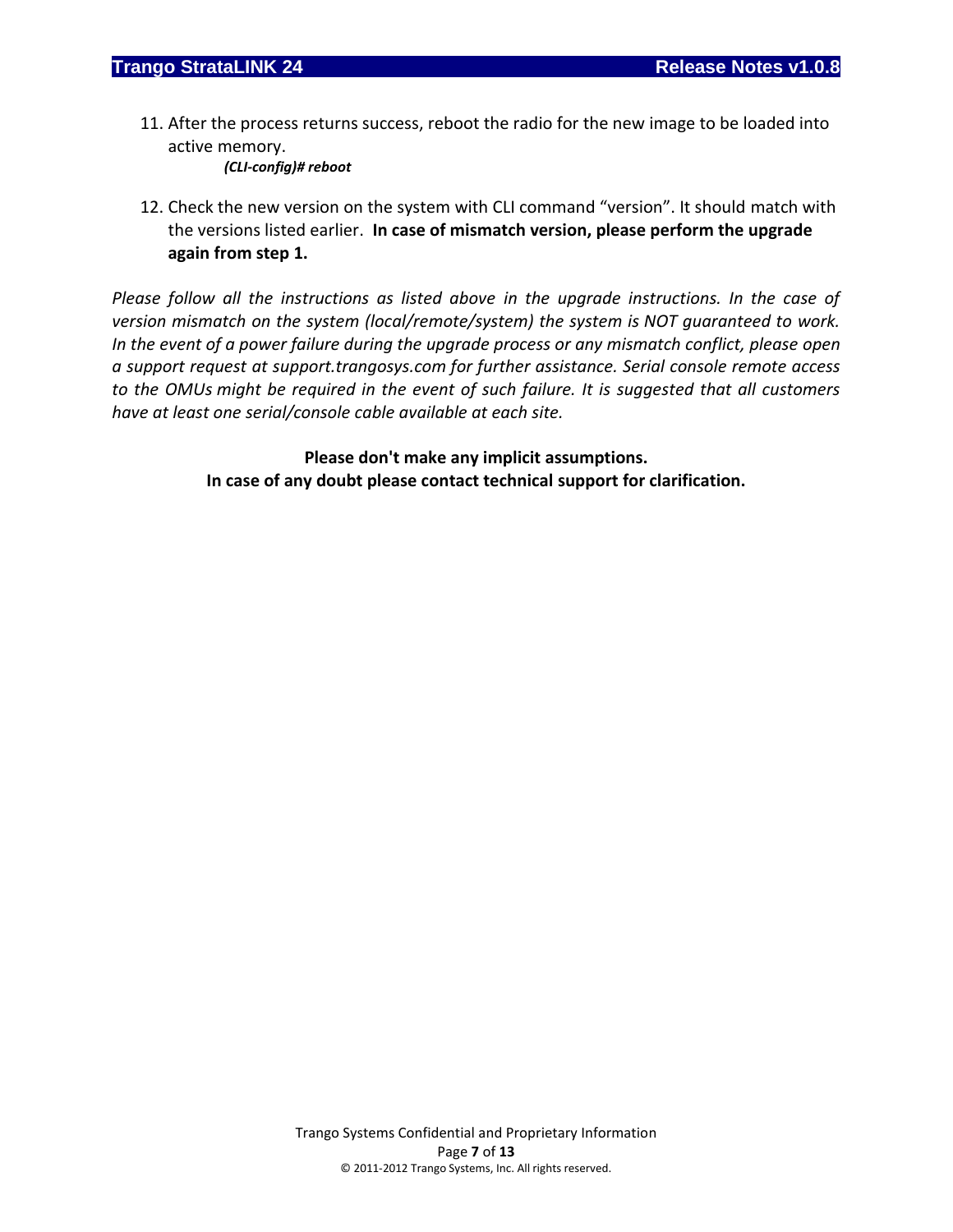11. After the process returns success, reboot the radio for the new image to be loaded into active memory.

*(CLI-config)# reboot*

12. Check the new version on the system with CLI command "version". It should match with the versions listed earlier. **In case of mismatch version, please perform the upgrade again from step 1.**

*Please follow all the instructions as listed above in the upgrade instructions. In the case of version mismatch on the system (local/remote/system) the system is NOT guaranteed to work. In the event of a power failure during the upgrade process or any mismatch conflict, please open a support request at support.trangosys.com for further assistance. Serial console remote access to the OMUs might be required in the event of such failure. It is suggested that all customers have at least one serial/console cable available at each site.*

> **Please don't make any implicit assumptions. In case of any doubt please contact technical support for clarification.**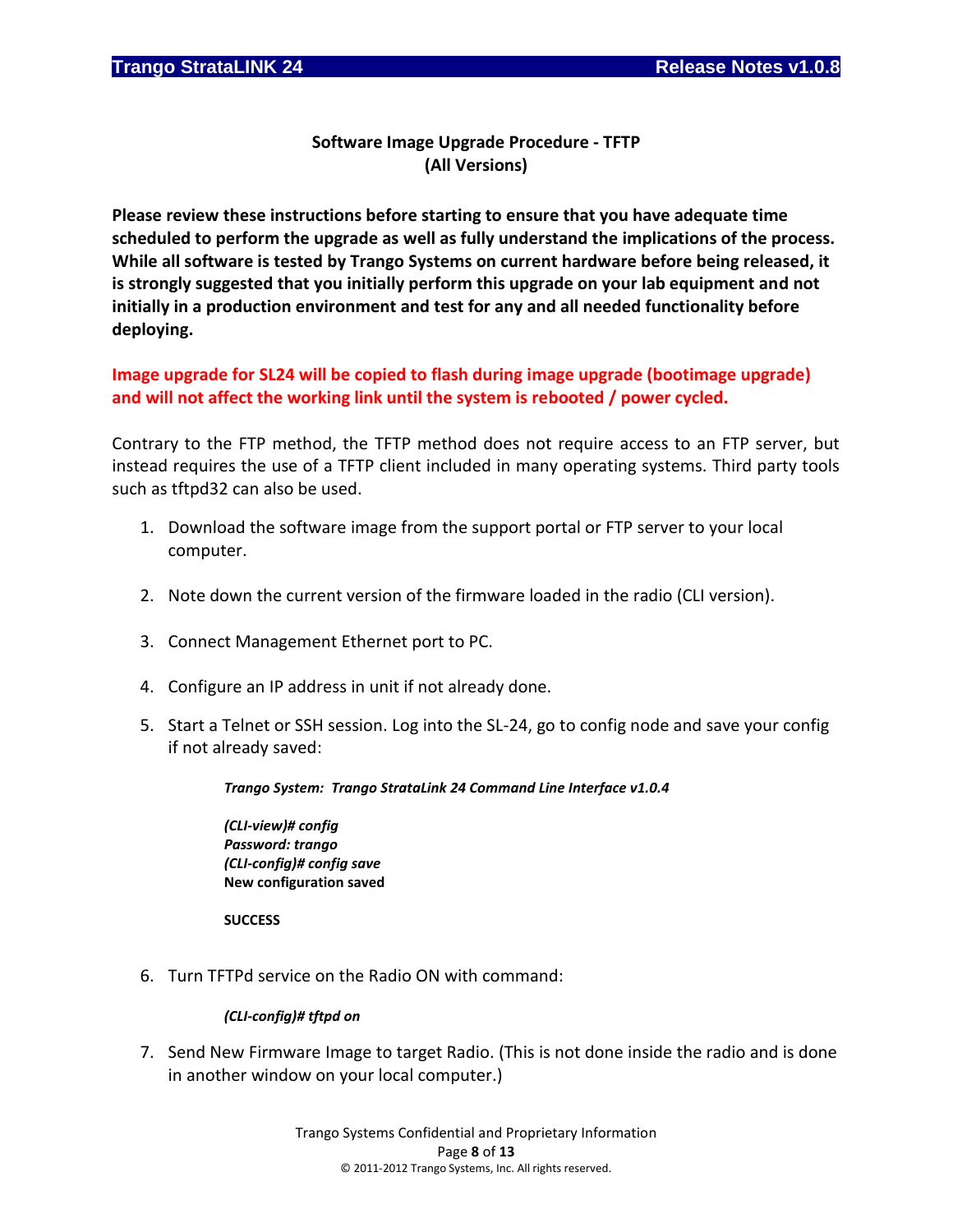## **Software Image Upgrade Procedure - TFTP (All Versions)**

**Please review these instructions before starting to ensure that you have adequate time scheduled to perform the upgrade as well as fully understand the implications of the process. While all software is tested by Trango Systems on current hardware before being released, it is strongly suggested that you initially perform this upgrade on your lab equipment and not initially in a production environment and test for any and all needed functionality before deploying.**

**Image upgrade for SL24 will be copied to flash during image upgrade (bootimage upgrade) and will not affect the working link until the system is rebooted / power cycled.**

Contrary to the FTP method, the TFTP method does not require access to an FTP server, but instead requires the use of a TFTP client included in many operating systems. Third party tools such as tftpd32 can also be used.

- 1. Download the software image from the support portal or FTP server to your local computer.
- 2. Note down the current version of the firmware loaded in the radio (CLI version).
- 3. Connect Management Ethernet port to PC.
- 4. Configure an IP address in unit if not already done.
- 5. Start a Telnet or SSH session. Log into the SL-24, go to config node and save your config if not already saved:

### *Trango System: Trango StrataLink 24 Command Line Interface v1.0.4*

*(CLI-view)# config Password: trango (CLI-config)# config save* **New configuration saved**

**SUCCESS**

6. Turn TFTPd service on the Radio ON with command:

### *(CLI-config)# tftpd on*

7. Send New Firmware Image to target Radio. (This is not done inside the radio and is done in another window on your local computer.)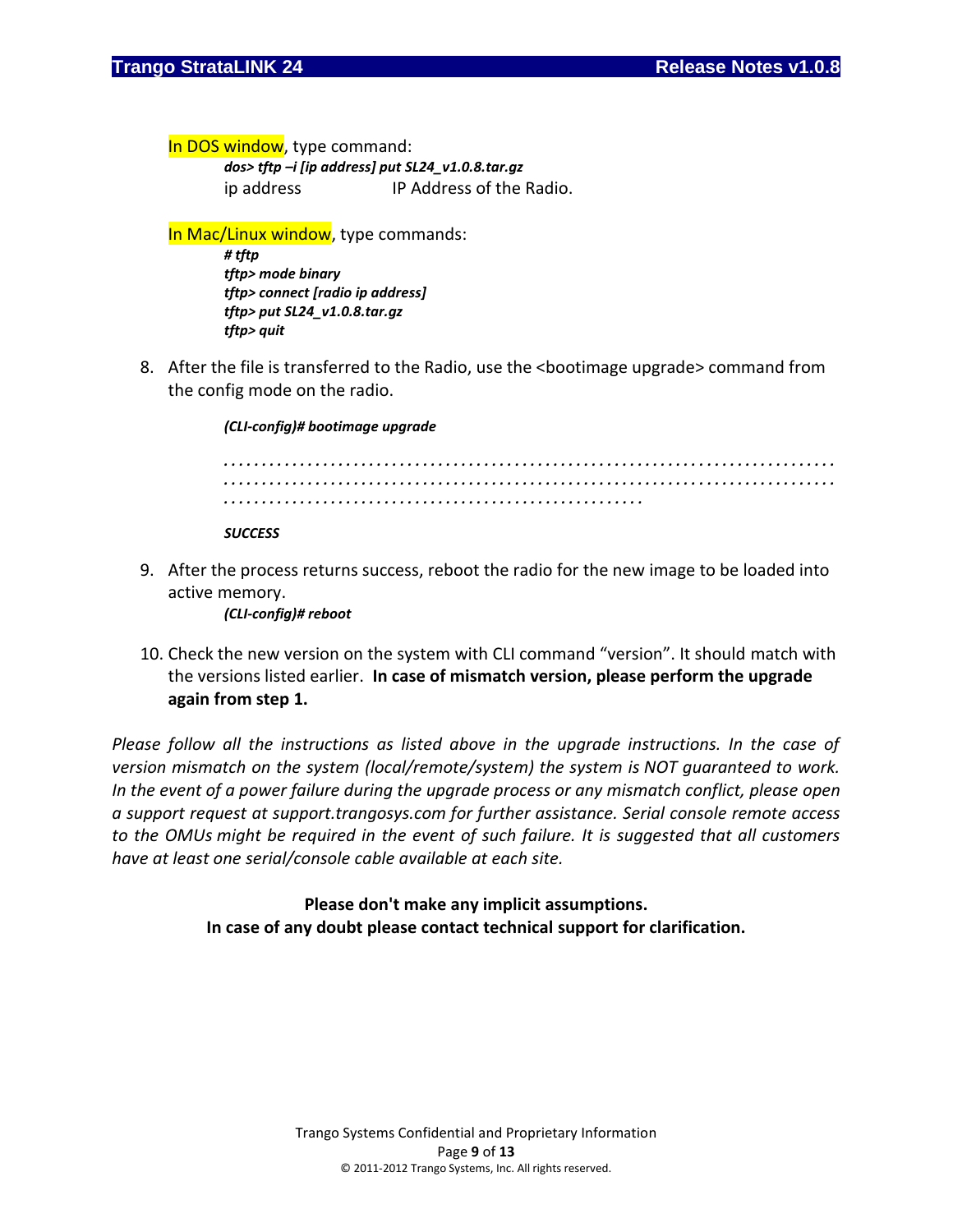In DOS window, type command:

*dos> tftp –i [ip address] put SL24\_v1.0.8.tar.gz* ip address IP Address of the Radio.

In Mac/Linux window, type commands:

*# tftp tftp> mode binary tftp> connect [radio ip address] tftp> put SL24\_v1.0.8.tar.gz tftp> quit*

8. After the file is transferred to the Radio, use the <bootimage upgrade> command from the config mode on the radio.

*(CLI-config)# bootimage upgrade* 

*. . . . . . . . . . . . . . . . . . . . . . . . . . . . . . . . . . . . . . . . . . . . . . . . . . . . . . . . . . . . . . . . . . . . . . . . . . . . . . . . . . . . . . . . . . . . . . . . . . . . . . . . . . . . . . . . . . . . . . . . . . . . . . . . . . . . . . . . . . . . . . . . . . . . . . . . . . . . . . . . . . . . . . . . . . . . . . . . . . . . . . . . . . . . . . . . . . . . . . . . . . . . . . . . . . . . . . .* 

*SUCCESS*

9. After the process returns success, reboot the radio for the new image to be loaded into active memory.

*(CLI-config)# reboot*

10. Check the new version on the system with CLI command "version". It should match with the versions listed earlier. **In case of mismatch version, please perform the upgrade again from step 1.**

*Please follow all the instructions as listed above in the upgrade instructions. In the case of version mismatch on the system (local/remote/system) the system is NOT guaranteed to work. In the event of a power failure during the upgrade process or any mismatch conflict, please open a support request at support.trangosys.com for further assistance. Serial console remote access to the OMUs might be required in the event of such failure. It is suggested that all customers have at least one serial/console cable available at each site.*

> **Please don't make any implicit assumptions. In case of any doubt please contact technical support for clarification.**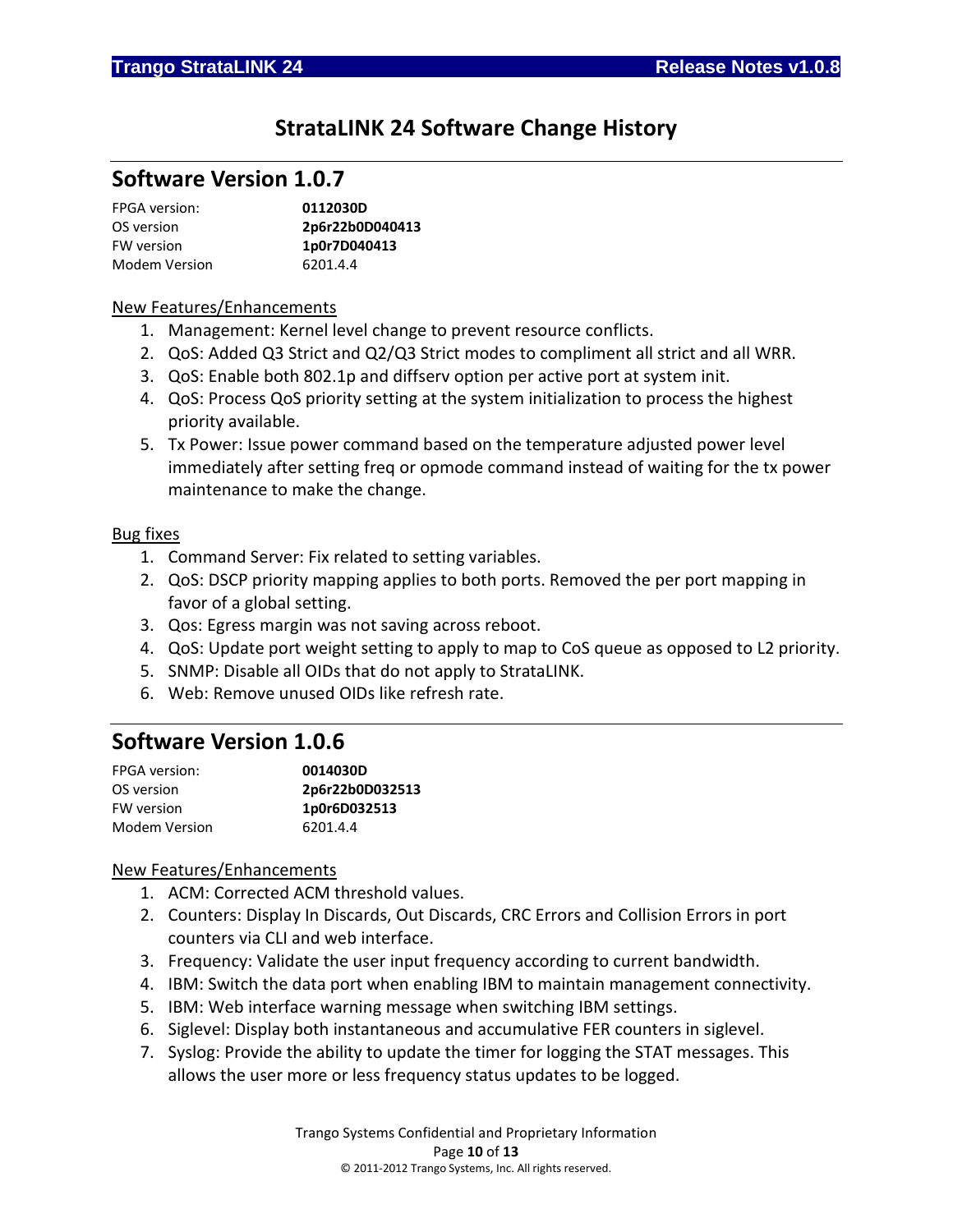# **StrataLINK 24 Software Change History**

## **Software Version 1.0.7**

| <b>FPGA</b> version: | 0112030D        |
|----------------------|-----------------|
| OS version           | 2p6r22b0D040413 |
| FW version           | 1p0r7D040413    |
| Modem Version        | 6201.4.4        |

### New Features/Enhancements

- 1. Management: Kernel level change to prevent resource conflicts.
- 2. QoS: Added Q3 Strict and Q2/Q3 Strict modes to compliment all strict and all WRR.
- 3. QoS: Enable both 802.1p and diffserv option per active port at system init.
- 4. QoS: Process QoS priority setting at the system initialization to process the highest priority available.
- 5. Tx Power: Issue power command based on the temperature adjusted power level immediately after setting freq or opmode command instead of waiting for the tx power maintenance to make the change.

### Bug fixes

- 1. Command Server: Fix related to setting variables.
- 2. QoS: DSCP priority mapping applies to both ports. Removed the per port mapping in favor of a global setting.
- 3. Qos: Egress margin was not saving across reboot.
- 4. QoS: Update port weight setting to apply to map to CoS queue as opposed to L2 priority.
- 5. SNMP: Disable all OIDs that do not apply to StrataLINK.
- 6. Web: Remove unused OIDs like refresh rate.

## **Software Version 1.0.6**

| <b>FPGA</b> version: | 0014030D        |
|----------------------|-----------------|
| OS version           | 2p6r22b0D032513 |
| FW version           | 1p0r6D032513    |
| Modem Version        | 6201.4.4        |

### New Features/Enhancements

- 1. ACM: Corrected ACM threshold values.
- 2. Counters: Display In Discards, Out Discards, CRC Errors and Collision Errors in port counters via CLI and web interface.
- 3. Frequency: Validate the user input frequency according to current bandwidth.
- 4. IBM: Switch the data port when enabling IBM to maintain management connectivity.
- 5. IBM: Web interface warning message when switching IBM settings.
- 6. Siglevel: Display both instantaneous and accumulative FER counters in siglevel.
- 7. Syslog: Provide the ability to update the timer for logging the STAT messages. This allows the user more or less frequency status updates to be logged.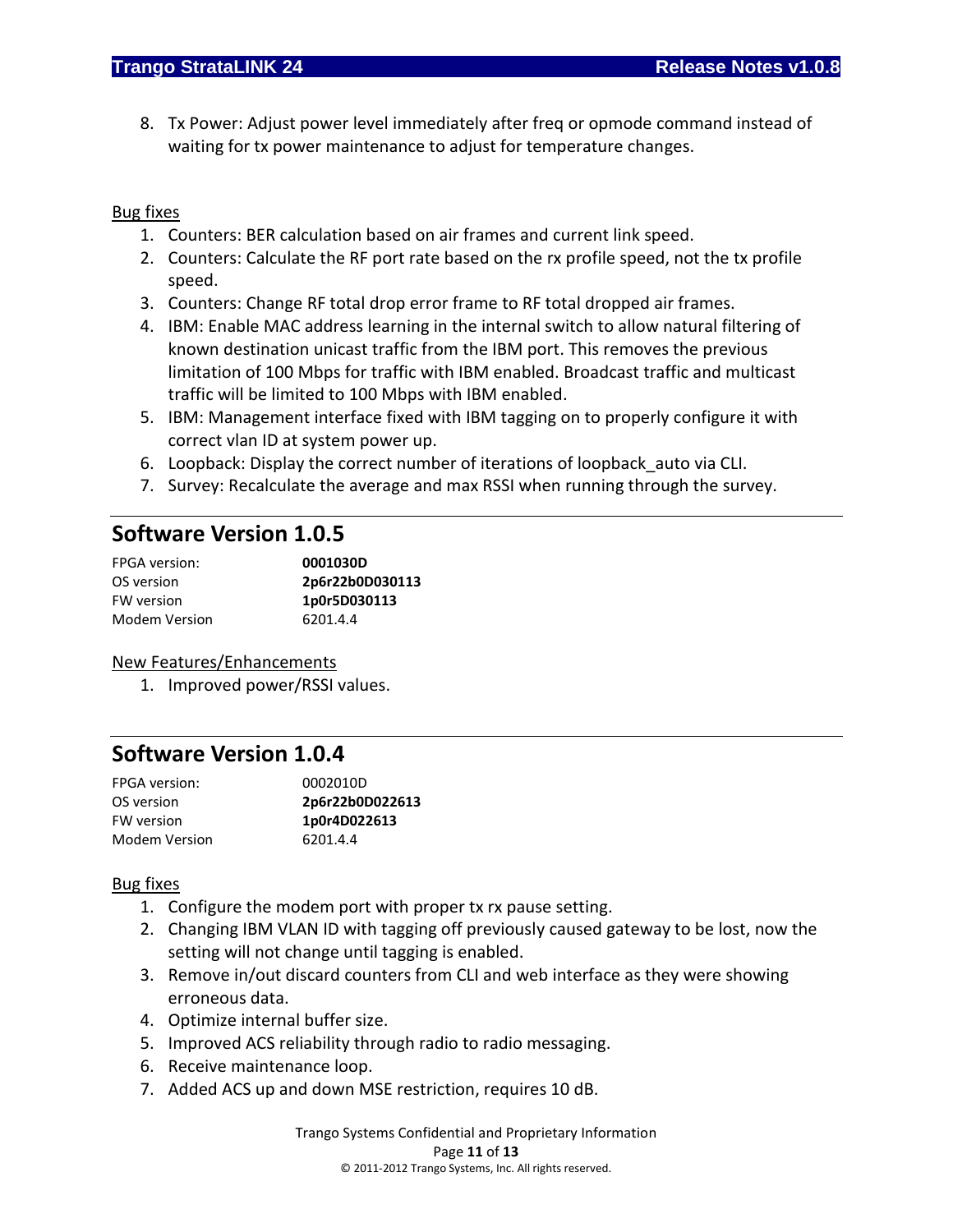8. Tx Power: Adjust power level immediately after freq or opmode command instead of waiting for tx power maintenance to adjust for temperature changes.

### Bug fixes

- 1. Counters: BER calculation based on air frames and current link speed.
- 2. Counters: Calculate the RF port rate based on the rx profile speed, not the tx profile speed.
- 3. Counters: Change RF total drop error frame to RF total dropped air frames.
- 4. IBM: Enable MAC address learning in the internal switch to allow natural filtering of known destination unicast traffic from the IBM port. This removes the previous limitation of 100 Mbps for traffic with IBM enabled. Broadcast traffic and multicast traffic will be limited to 100 Mbps with IBM enabled.
- 5. IBM: Management interface fixed with IBM tagging on to properly configure it with correct vlan ID at system power up.
- 6. Loopback: Display the correct number of iterations of loopback\_auto via CLI.
- 7. Survey: Recalculate the average and max RSSI when running through the survey.

## **Software Version 1.0.5**

| FPGA version:        | 0001030D        |
|----------------------|-----------------|
| OS version           | 2p6r22b0D030113 |
| FW version           | 1p0r5D030113    |
| <b>Modem Version</b> | 6201.4.4        |

### New Features/Enhancements

1. Improved power/RSSI values.

# **Software Version 1.0.4**

| <b>FPGA</b> version: | 0002010D        |
|----------------------|-----------------|
| OS version           | 2p6r22b0D022613 |
| FW version           | 1p0r4D022613    |
| Modem Version        | 6201.4.4        |

### Bug fixes

- 1. Configure the modem port with proper tx rx pause setting.
- 2. Changing IBM VLAN ID with tagging off previously caused gateway to be lost, now the setting will not change until tagging is enabled.
- 3. Remove in/out discard counters from CLI and web interface as they were showing erroneous data.
- 4. Optimize internal buffer size.
- 5. Improved ACS reliability through radio to radio messaging.
- 6. Receive maintenance loop.
- 7. Added ACS up and down MSE restriction, requires 10 dB.

Trango Systems Confidential and Proprietary Information Page **11** of **13** © 2011-2012 Trango Systems, Inc. All rights reserved.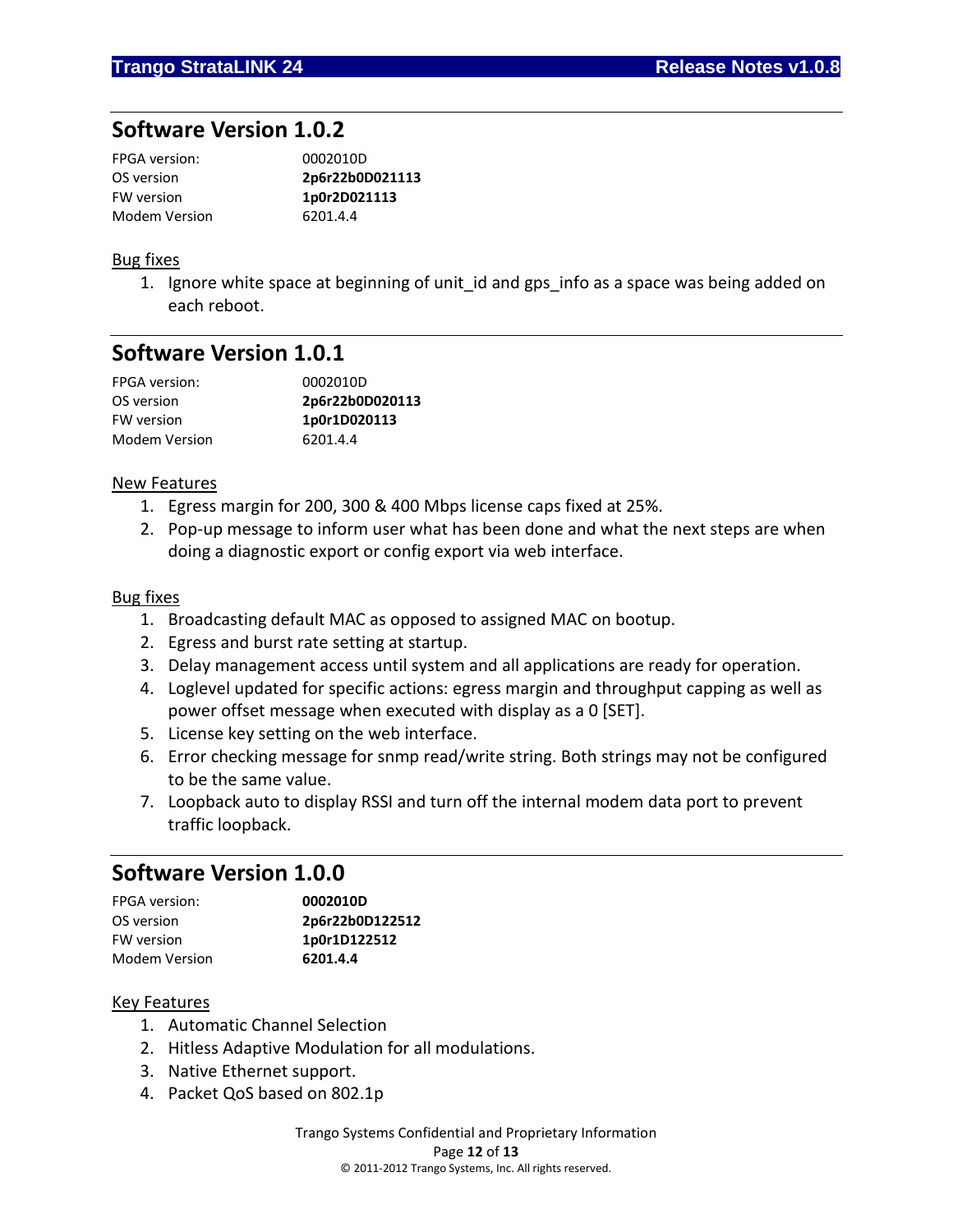## **Software Version 1.0.2**

| <b>FPGA</b> version: | 0002010D        |
|----------------------|-----------------|
| OS version           | 2p6r22b0D021113 |
| FW version           | 1p0r2D021113    |
| Modem Version        | 6201.4.4        |

### Bug fixes

1. Ignore white space at beginning of unit id and gps info as a space was being added on each reboot.

## **Software Version 1.0.1**

| <b>FPGA</b> version: | 0002010D        |
|----------------------|-----------------|
| OS version           | 2p6r22b0D020113 |
| <b>FW</b> version    | 1p0r1D020113    |
| Modem Version        | 6201.4.4        |

### New Features

- 1. Egress margin for 200, 300 & 400 Mbps license caps fixed at 25%.
- 2. Pop-up message to inform user what has been done and what the next steps are when doing a diagnostic export or config export via web interface.

### Bug fixes

- 1. Broadcasting default MAC as opposed to assigned MAC on bootup.
- 2. Egress and burst rate setting at startup.
- 3. Delay management access until system and all applications are ready for operation.
- 4. Loglevel updated for specific actions: egress margin and throughput capping as well as power offset message when executed with display as a 0 [SET].
- 5. License key setting on the web interface.
- 6. Error checking message for snmp read/write string. Both strings may not be configured to be the same value.
- 7. Loopback auto to display RSSI and turn off the internal modem data port to prevent traffic loopback.

# **Software Version 1.0.0**

| <b>FPGA</b> version: | 0002010D        |
|----------------------|-----------------|
| OS version           | 2p6r22b0D122512 |
| <b>FW</b> version    | 1p0r1D122512    |
| Modem Version        | 6201.4.4        |

### Key Features

- 1. Automatic Channel Selection
- 2. Hitless Adaptive Modulation for all modulations.
- 3. Native Ethernet support.
- 4. Packet QoS based on 802.1p